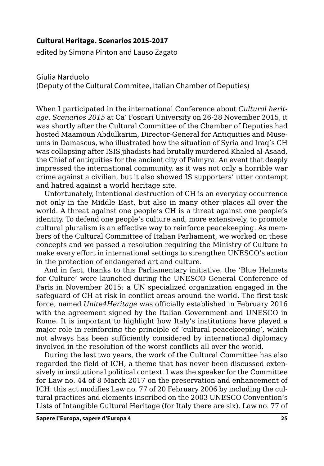## **Cultural Heritage. Scenarios 2015-2017**

edited by Simona Pinton and Lauso Zagato

Giulia Narduolo

(Deputy of the Cultural Commitee, Italian Chamber of Deputies)

When I participated in the international Conference about *Cultural heritage. Scenarios 2015* at Ca' Foscari University on 26-28 November 2015, it was shortly after the Cultural Committee of the Chamber of Deputies had hosted Maamoun Abdulkarim, Director-General for Antiquities and Museums in Damascus, who illustrated how the situation of Syria and Iraq's CH was collapsing after ISIS jihadists had brutally murdered Khaled al-Asaad, the Chief of antiquities for the ancient city of Palmyra. An event that deeply impressed the international community, as it was not only a horrible war crime against a civilian, but it also showed IS supporters' utter contempt and hatred against a world heritage site.

Unfortunately, intentional destruction of CH is an everyday occurrence not only in the Middle East, but also in many other places all over the world. A threat against one people's CH is a threat against one people's identity. To defend one people's culture and, more extensively, to promote cultural pluralism is an effective way to reinforce peacekeeping. As members of the Cultural Committee of Italian Parliament, we worked on these concepts and we passed a resolution requiring the Ministry of Culture to make every effort in international settings to strengthen UNESCO's action in the protection of endangered art and culture.

And in fact, thanks to this Parliamentary initiative, the 'Blue Helmets for Culture' were launched during the UNESCO General Conference of Paris in November 2015: a UN specialized organization engaged in the safeguard of CH at risk in conflict areas around the world. The first task force, named *Unite4Heritage* was officially established in February 2016 with the agreement signed by the Italian Government and UNESCO in Rome. It is important to highlight how Italy's institutions have played a major role in reinforcing the principle of 'cultural peacekeeping', which not always has been sufficiently considered by international diplomacy involved in the resolution of the worst conflicts all over the world.

During the last two years, the work of the Cultural Committee has also regarded the field of ICH, a theme that has never been discussed extensively in institutional political context. I was the speaker for the Committee for Law no. 44 of 8 March 2017 on the preservation and enhancement of ICH: this act modifies Law no. 77 of 20 February 2006 by including the cultural practices and elements inscribed on the 2003 UNESCO Convention's Lists of Intangible Cultural Heritage (for Italy there are six). Law no. 77 of